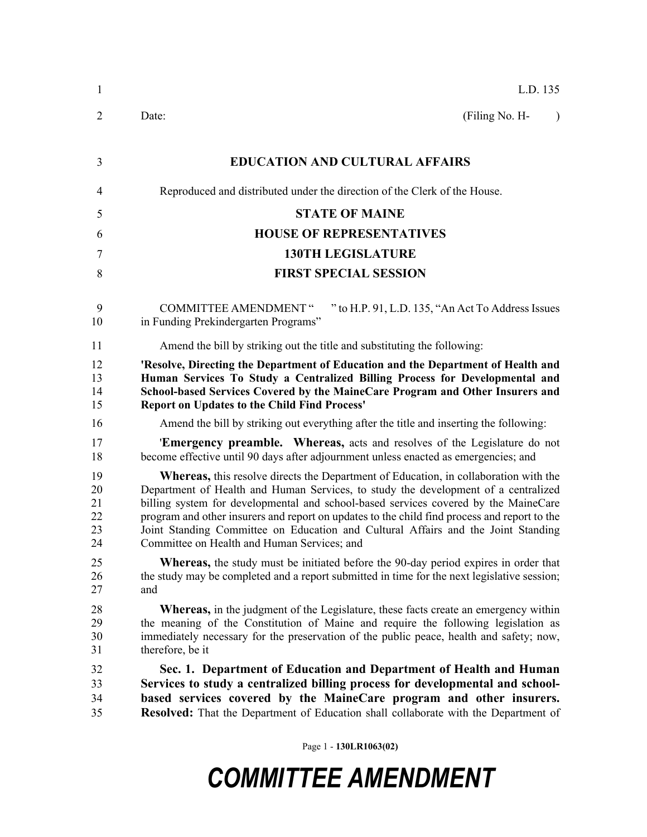| 1                                | L.D. 135                                                                                                                                                                                                                                                                                                                                                                                                                                                                                                     |  |  |  |
|----------------------------------|--------------------------------------------------------------------------------------------------------------------------------------------------------------------------------------------------------------------------------------------------------------------------------------------------------------------------------------------------------------------------------------------------------------------------------------------------------------------------------------------------------------|--|--|--|
| $\overline{2}$                   | (Filing No. H-<br>Date:<br>$\lambda$                                                                                                                                                                                                                                                                                                                                                                                                                                                                         |  |  |  |
| 3                                | <b>EDUCATION AND CULTURAL AFFAIRS</b>                                                                                                                                                                                                                                                                                                                                                                                                                                                                        |  |  |  |
| 4                                | Reproduced and distributed under the direction of the Clerk of the House.                                                                                                                                                                                                                                                                                                                                                                                                                                    |  |  |  |
| 5                                | <b>STATE OF MAINE</b>                                                                                                                                                                                                                                                                                                                                                                                                                                                                                        |  |  |  |
| 6                                | <b>HOUSE OF REPRESENTATIVES</b>                                                                                                                                                                                                                                                                                                                                                                                                                                                                              |  |  |  |
| $\tau$                           | <b>130TH LEGISLATURE</b>                                                                                                                                                                                                                                                                                                                                                                                                                                                                                     |  |  |  |
| 8                                | <b>FIRST SPECIAL SESSION</b>                                                                                                                                                                                                                                                                                                                                                                                                                                                                                 |  |  |  |
| 9<br>10                          | <b>COMMITTEE AMENDMENT</b> "<br>" to H.P. 91, L.D. 135, "An Act To Address Issues<br>in Funding Prekindergarten Programs"                                                                                                                                                                                                                                                                                                                                                                                    |  |  |  |
| 11                               | Amend the bill by striking out the title and substituting the following:                                                                                                                                                                                                                                                                                                                                                                                                                                     |  |  |  |
| 12<br>13<br>14<br>15             | 'Resolve, Directing the Department of Education and the Department of Health and<br>Human Services To Study a Centralized Billing Process for Developmental and<br>School-based Services Covered by the MaineCare Program and Other Insurers and<br><b>Report on Updates to the Child Find Process'</b>                                                                                                                                                                                                      |  |  |  |
| 16                               | Amend the bill by striking out everything after the title and inserting the following:                                                                                                                                                                                                                                                                                                                                                                                                                       |  |  |  |
| 17<br>18                         | 'Emergency preamble. Whereas, acts and resolves of the Legislature do not<br>become effective until 90 days after adjournment unless enacted as emergencies; and                                                                                                                                                                                                                                                                                                                                             |  |  |  |
| 19<br>20<br>21<br>22<br>23<br>24 | <b>Whereas,</b> this resolve directs the Department of Education, in collaboration with the<br>Department of Health and Human Services, to study the development of a centralized<br>billing system for developmental and school-based services covered by the MaineCare<br>program and other insurers and report on updates to the child find process and report to the<br>Joint Standing Committee on Education and Cultural Affairs and the Joint Standing<br>Committee on Health and Human Services; and |  |  |  |
| 25<br>26<br>27                   | <b>Whereas,</b> the study must be initiated before the 90-day period expires in order that<br>the study may be completed and a report submitted in time for the next legislative session;<br>and                                                                                                                                                                                                                                                                                                             |  |  |  |
| 28<br>29<br>30<br>31             | <b>Whereas,</b> in the judgment of the Legislature, these facts create an emergency within<br>the meaning of the Constitution of Maine and require the following legislation as<br>immediately necessary for the preservation of the public peace, health and safety; now,<br>therefore, be it                                                                                                                                                                                                               |  |  |  |
| 32<br>33<br>34<br>35             | Sec. 1. Department of Education and Department of Health and Human<br>Services to study a centralized billing process for developmental and school-<br>based services covered by the MaineCare program and other insurers.<br>Resolved: That the Department of Education shall collaborate with the Department of                                                                                                                                                                                            |  |  |  |

Page 1 - **130LR1063(02)**

## *COMMITTEE AMENDMENT*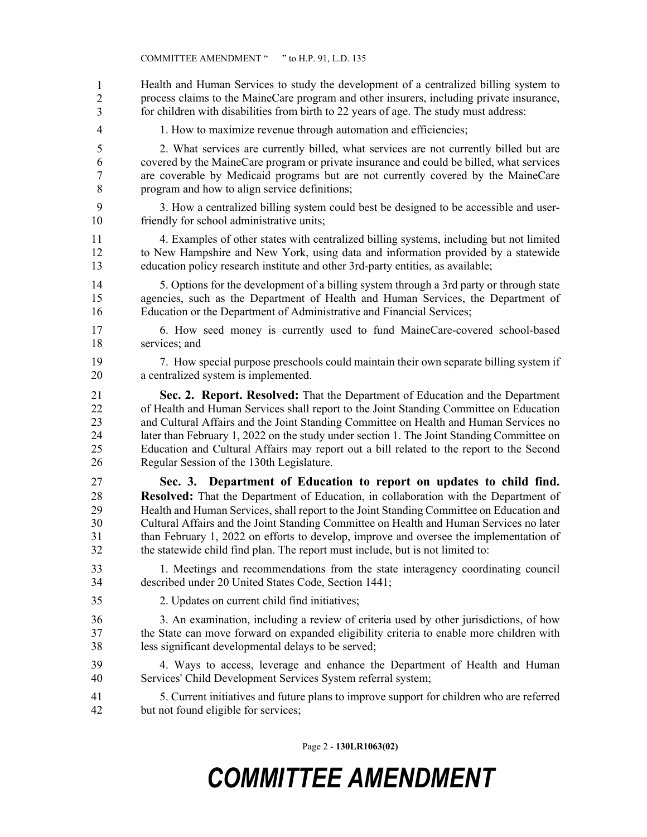Page 2 - **130LR1063(02)** Health and Human Services to study the development of a centralized billing system to process claims to the MaineCare program and other insurers, including private insurance, for children with disabilities from birth to 22 years of age. The study must address: 4 1. How to maximize revenue through automation and efficiencies; 5 2. What services are currently billed, what services are not currently billed but are 6 covered by the MaineCare program or private insurance and could be billed, what services 7 are coverable by Medicaid programs but are not currently covered by the MaineCare 8 program and how to align service definitions; 9 3. How a centralized billing system could best be designed to be accessible and user-10 friendly for school administrative units; 11 4. Examples of other states with centralized billing systems, including but not limited 12 to New Hampshire and New York, using data and information provided by a statewide 13 education policy research institute and other 3rd-party entities, as available; 14 5. Options for the development of a billing system through a 3rd party or through state 15 agencies, such as the Department of Health and Human Services, the Department of 16 Education or the Department of Administrative and Financial Services; 17 6. How seed money is currently used to fund MaineCare-covered school-based 18 services; and 19 7. How special purpose preschools could maintain their own separate billing system if 20 a centralized system is implemented. 21 **Sec. 2. Report. Resolved:** That the Department of Education and the Department 22 of Health and Human Services shall report to the Joint Standing Committee on Education 23 and Cultural Affairs and the Joint Standing Committee on Health and Human Services no 24 later than February 1, 2022 on the study under section 1. The Joint Standing Committee on 25 Education and Cultural Affairs may report out a bill related to the report to the Second 26 Regular Session of the 130th Legislature. 27 **Sec. 3. Department of Education to report on updates to child find.**  28 **Resolved:** That the Department of Education, in collaboration with the Department of 29 Health and Human Services, shall report to the Joint Standing Committee on Education and 30 Cultural Affairs and the Joint Standing Committee on Health and Human Services no later 31 than February 1, 2022 on efforts to develop, improve and oversee the implementation of 32 the statewide child find plan. The report must include, but is not limited to: 33 1. Meetings and recommendations from the state interagency coordinating council 34 described under 20 United States Code, Section 1441; 35 2. Updates on current child find initiatives; 36 3. An examination, including a review of criteria used by other jurisdictions, of how 37 the State can move forward on expanded eligibility criteria to enable more children with 38 less significant developmental delays to be served; 39 4. Ways to access, leverage and enhance the Department of Health and Human 40 Services' Child Development Services System referral system; 41 5. Current initiatives and future plans to improve support for children who are referred 42 but not found eligible for services; 1 2 3

## *COMMITTEE AMENDMENT*